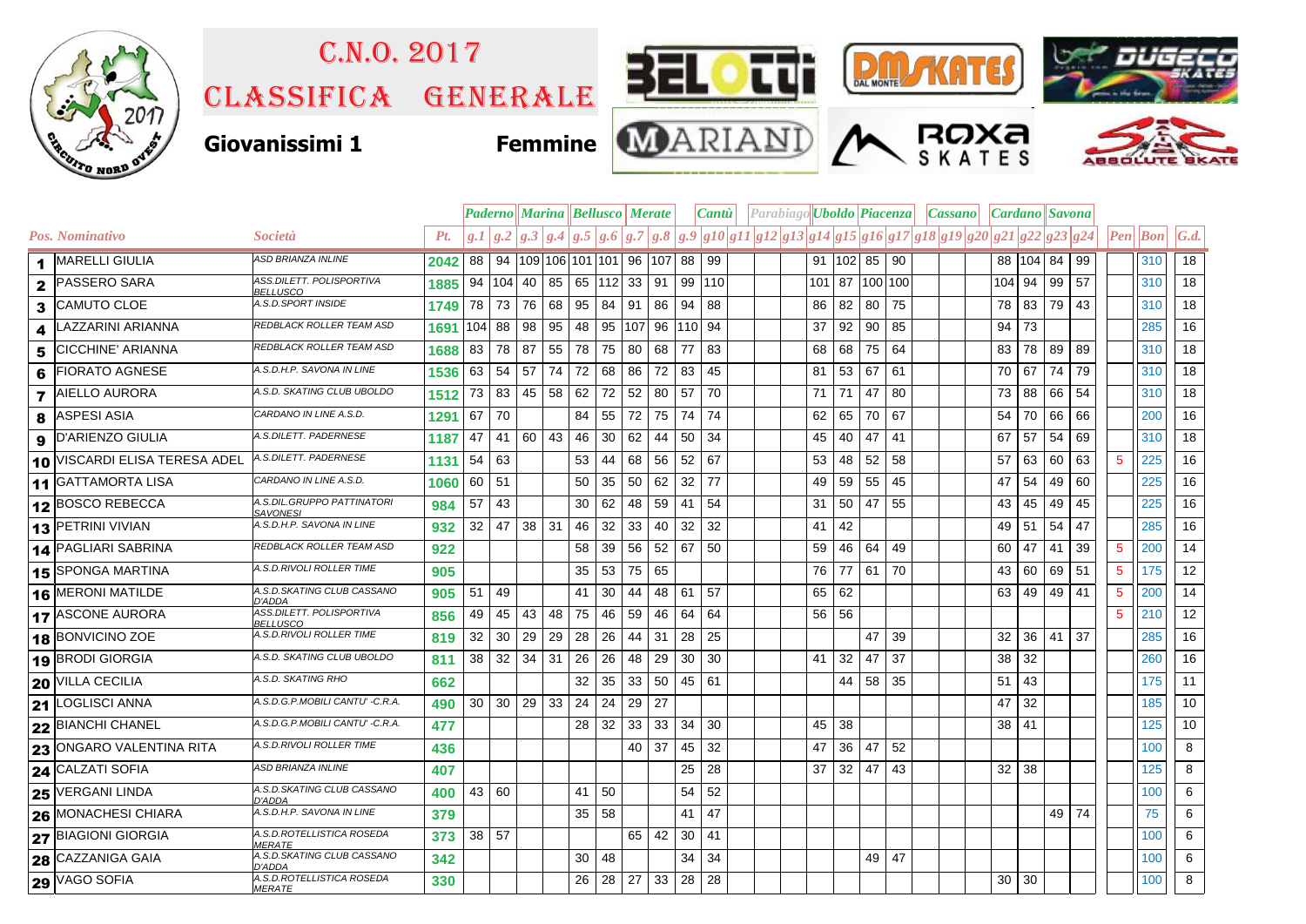

## Classifica generale C.n.o. 2017





ROXa





**Giovanissimi 1 Femmine**